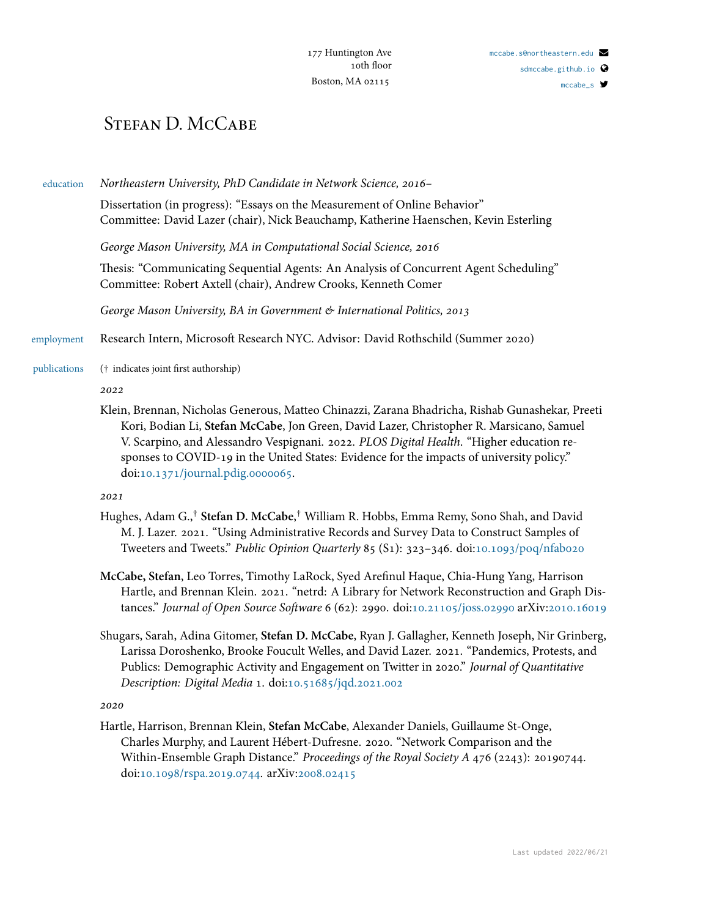#### [mccabe\\_s](http://twitter.com/mccabe_s)

# STEFAN D. MCCABE

education *Northeastern University, PhD Candidate in Network Science, 2016–*

Dissertation (in progress): "Essays on the Measurement of Online Behavior" Committee: David Lazer (chair), Nick Beauchamp, Katherine Haenschen, Kevin Esterling

*George Mason University, MA in Computational Social Science, 2016*

Thesis: "Communicating Sequential Agents: An Analysis of Concurrent Agent Scheduling" Committee: Robert Axtell (chair), Andrew Crooks, Kenneth Comer

*George Mason University, BA in Government & International Politics, 2013*

employment Research Intern, Microsoft Research NYC. Advisor: David Rothschild (Summer 2020)

publications († indicates joint first authorship)

*2022*

Klein, Brennan, Nicholas Generous, Matteo Chinazzi, Zarana Bhadricha, Rishab Gunashekar, Preeti Kori, Bodian Li, **Stefan McCabe**, Jon Green, David Lazer, Christopher R. Marsicano, Samuel V. Scarpino, and Alessandro Vespignani. 2022. *PLOS Digital Health*. "Higher education responses to COVID-19 in the United States: Evidence for the impacts of university policy." doi[:10.1371/journal.pdig.0000065](https://doi.org/10.1371/journal.pdig.0000065).

*2021*

- Hughes, Adam G.,† **Stefan D. McCabe**, † William R. Hobbs, Emma Remy, Sono Shah, and David M. J. Lazer. 2021. "Using Administrative Records and Survey Data to Construct Samples of Tweeters and Tweets." *Public Opinion Quarterly* 85 (S1): 323–346. doi:[10.1093/poq/nfab020](https://doi.org/10.1093/poq/nfab020)
- **McCabe, Stefan**, Leo Torres, Timothy LaRock, Syed Arefinul Haque, Chia-Hung Yang, Harrison Hartle, and Brennan Klein. 2021. "netrd: A Library for Network Reconstruction and Graph Distances." *Journal of Open Source Software* 6 (62): 2990. doi:[10.21105/joss.02990](https://doi.org/10.21105/joss.02990) arXiv:[2010.16019](https://arxiv.org/abs/2010.16019)
- Shugars, Sarah, Adina Gitomer, **Stefan D. McCabe**, Ryan J. Gallagher, Kenneth Joseph, Nir Grinberg, Larissa Doroshenko, Brooke Foucult Welles, and David Lazer. 2021. "Pandemics, Protests, and Publics: Demographic Activity and Engagement on Twitter in 2020." *Journal of Quantitative Description: Digital Media* 1. doi:[10.51685/jqd.2021.002](https://doi.org/10.51685/jqd.2021.002)

*2020*

Hartle, Harrison, Brennan Klein, **Stefan McCabe**, Alexander Daniels, Guillaume St-Onge, Charles Murphy, and Laurent Hébert-Dufresne. 2020. "Network Comparison and the Within-Ensemble Graph Distance." *Proceedings of the Royal Society A* 476 (2243): 20190744. doi[:10.1098/rspa.2019.0744.](https://doi.org/10.1098/rspa.2019.0744) arXiv[:2008.02415](https://arxiv.org/abs/2008.02415)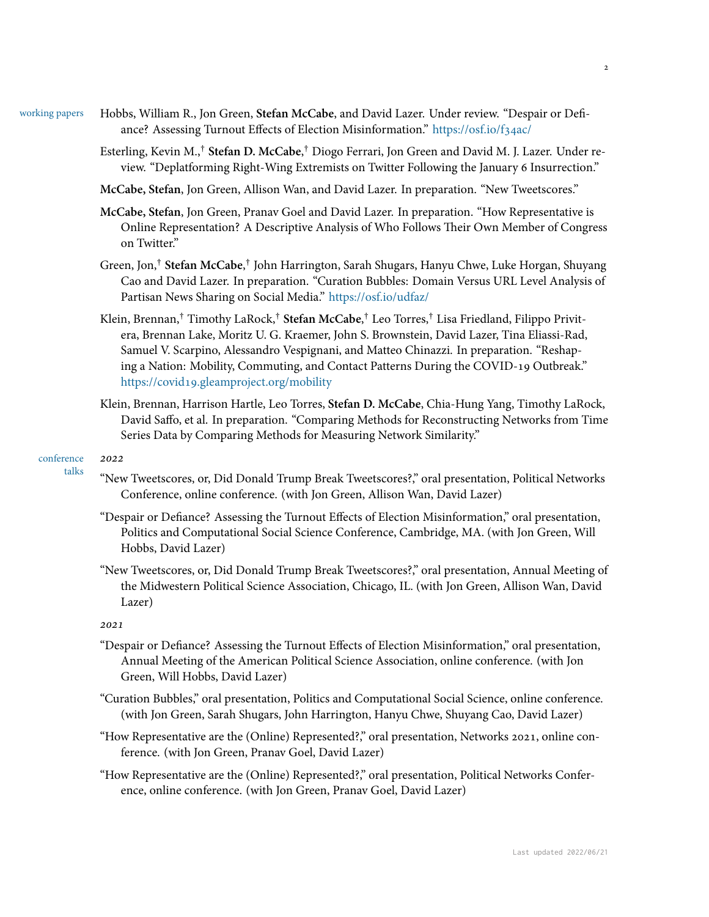- working papers Hobbs, William R., Jon Green, **Stefan McCabe**, and David Lazer. Under review. "Despair or Defiance? Assessing Turnout Effects of Election Misinformation." <https://osf.io/f34ac/>
	- Esterling, Kevin M.,† **Stefan D. McCabe**, † Diogo Ferrari, Jon Green and David M. J. Lazer. Under review. "Deplatforming Right-Wing Extremists on Twitter Following the January 6 Insurrection."

**McCabe, Stefan**, Jon Green, Allison Wan, and David Lazer. In preparation. "New Tweetscores."

**McCabe, Stefan**, Jon Green, Pranav Goel and David Lazer. In preparation. "How Representative is Online Representation? A Descriptive Analysis of Who Follows Their Own Member of Congress on Twitter."

- Green, Jon,<sup>†</sup> S**tefan McCabe**,<sup>†</sup> John Harrington, Sarah Shugars, Hanyu Chwe, Luke Horgan, Shuyang Cao and David Lazer. In preparation. "Curation Bubbles: Domain Versus URL Level Analysis of Partisan News Sharing on Social Media." <https://osf.io/udfaz/>
- Klein, Brennan,† Timothy LaRock,† **Stefan McCabe**, † Leo Torres,† Lisa Friedland, Filippo Privitera, Brennan Lake, Moritz U. G. Kraemer, John S. Brownstein, David Lazer, Tina Eliassi-Rad, Samuel V. Scarpino, Alessandro Vespignani, and Matteo Chinazzi. In preparation. "Reshaping a Nation: Mobility, Commuting, and Contact Patterns During the COVID-19 Outbreak." <https://covid19.gleamproject.org/mobility>
- Klein, Brennan, Harrison Hartle, Leo Torres, **Stefan D. McCabe**, Chia-Hung Yang, Timothy LaRock, David Saffo, et al. In preparation. "Comparing Methods for Reconstructing Networks from Time Series Data by Comparing Methods for Measuring Network Similarity."

### conference talks

- "New Tweetscores, or, Did Donald Trump Break Tweetscores?," oral presentation, Political Networks Conference, online conference. (with Jon Green, Allison Wan, David Lazer)
- "Despair or Defiance? Assessing the Turnout Effects of Election Misinformation," oral presentation, Politics and Computational Social Science Conference, Cambridge, MA. (with Jon Green, Will Hobbs, David Lazer)
- "New Tweetscores, or, Did Donald Trump Break Tweetscores?," oral presentation, Annual Meeting of the Midwestern Political Science Association, Chicago, IL. (with Jon Green, Allison Wan, David Lazer)

## *2021*

*2022*

- "Despair or Defiance? Assessing the Turnout Effects of Election Misinformation," oral presentation, Annual Meeting of the American Political Science Association, online conference. (with Jon Green, Will Hobbs, David Lazer)
- "Curation Bubbles," oral presentation, Politics and Computational Social Science, online conference. (with Jon Green, Sarah Shugars, John Harrington, Hanyu Chwe, Shuyang Cao, David Lazer)
- "How Representative are the (Online) Represented?," oral presentation, Networks 2021, online conference. (with Jon Green, Pranav Goel, David Lazer)

"How Representative are the (Online) Represented?," oral presentation, Political Networks Conference, online conference. (with Jon Green, Pranav Goel, David Lazer)